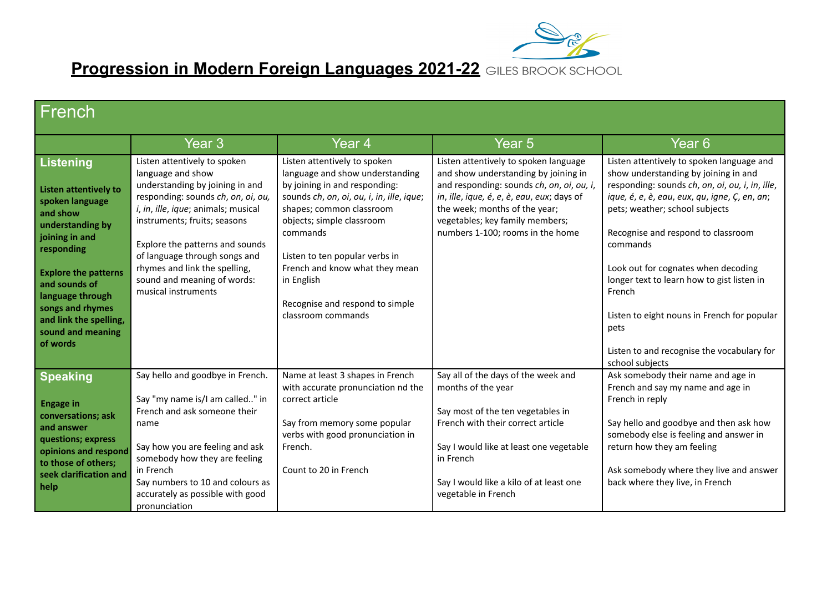

**Progression in Modern Foreign Languages 2021-22**

| French                                                                                                                                                                                                                                                                                 |                                                                                                                                                                                                                                                                                                                                                              |                                                                                                                                                                                                                                                                                                                                                               |                                                                                                                                                                                                                                                                                  |                                                                                                                                                                                                                                                                                                                                                                                                                                                                                                  |
|----------------------------------------------------------------------------------------------------------------------------------------------------------------------------------------------------------------------------------------------------------------------------------------|--------------------------------------------------------------------------------------------------------------------------------------------------------------------------------------------------------------------------------------------------------------------------------------------------------------------------------------------------------------|---------------------------------------------------------------------------------------------------------------------------------------------------------------------------------------------------------------------------------------------------------------------------------------------------------------------------------------------------------------|----------------------------------------------------------------------------------------------------------------------------------------------------------------------------------------------------------------------------------------------------------------------------------|--------------------------------------------------------------------------------------------------------------------------------------------------------------------------------------------------------------------------------------------------------------------------------------------------------------------------------------------------------------------------------------------------------------------------------------------------------------------------------------------------|
|                                                                                                                                                                                                                                                                                        | Year 3                                                                                                                                                                                                                                                                                                                                                       | Year <sub>4</sub>                                                                                                                                                                                                                                                                                                                                             | Year <sub>5</sub>                                                                                                                                                                                                                                                                | Year <sub>6</sub>                                                                                                                                                                                                                                                                                                                                                                                                                                                                                |
| <b>Listening</b><br><b>Listen attentively to</b><br>spoken language<br>and show<br>understanding by<br>joining in and<br>responding<br><b>Explore the patterns</b><br>and sounds of<br>language through<br>songs and rhymes<br>and link the spelling,<br>sound and meaning<br>of words | Listen attentively to spoken<br>language and show<br>understanding by joining in and<br>responding: sounds ch, on, oi, ou,<br>i, in, ille, ique; animals; musical<br>instruments; fruits; seasons<br>Explore the patterns and sounds<br>of language through songs and<br>rhymes and link the spelling,<br>sound and meaning of words:<br>musical instruments | Listen attentively to spoken<br>language and show understanding<br>by joining in and responding:<br>sounds ch, on, oi, ou, i, in, ille, ique;<br>shapes; common classroom<br>objects; simple classroom<br>commands<br>Listen to ten popular verbs in<br>French and know what they mean<br>in English<br>Recognise and respond to simple<br>classroom commands | Listen attentively to spoken language<br>and show understanding by joining in<br>and responding: sounds ch, on, oi, ou, i,<br>in, ille, ique, é, e, è, eau, eux; days of<br>the week; months of the year;<br>vegetables; key family members;<br>numbers 1-100; rooms in the home | Listen attentively to spoken language and<br>show understanding by joining in and<br>responding: sounds ch, on, oi, ou, i, in, ille,<br>ique, é, e, è, eau, eux, qu, igne, Ç, en, an;<br>pets; weather; school subjects<br>Recognise and respond to classroom<br>commands<br>Look out for cognates when decoding<br>longer text to learn how to gist listen in<br>French<br>Listen to eight nouns in French for popular<br>pets<br>Listen to and recognise the vocabulary for<br>school subjects |
| <b>Speaking</b><br><b>Engage in</b><br>conversations; ask<br>and answer<br>questions; express<br>opinions and respond<br>to those of others;<br>seek clarification and<br>help                                                                                                         | Say hello and goodbye in French.<br>Say "my name is/I am called" in<br>French and ask someone their<br>name<br>Say how you are feeling and ask<br>somebody how they are feeling<br>in French<br>Say numbers to 10 and colours as<br>accurately as possible with good<br>pronunciation                                                                        | Name at least 3 shapes in French<br>with accurate pronunciation nd the<br>correct article<br>Say from memory some popular<br>verbs with good pronunciation in<br>French.<br>Count to 20 in French                                                                                                                                                             | Say all of the days of the week and<br>months of the year<br>Say most of the ten vegetables in<br>French with their correct article<br>Say I would like at least one vegetable<br>in French<br>Say I would like a kilo of at least one<br>vegetable in French                    | Ask somebody their name and age in<br>French and say my name and age in<br>French in reply<br>Say hello and goodbye and then ask how<br>somebody else is feeling and answer in<br>return how they am feeling<br>Ask somebody where they live and answer<br>back where they live, in French                                                                                                                                                                                                       |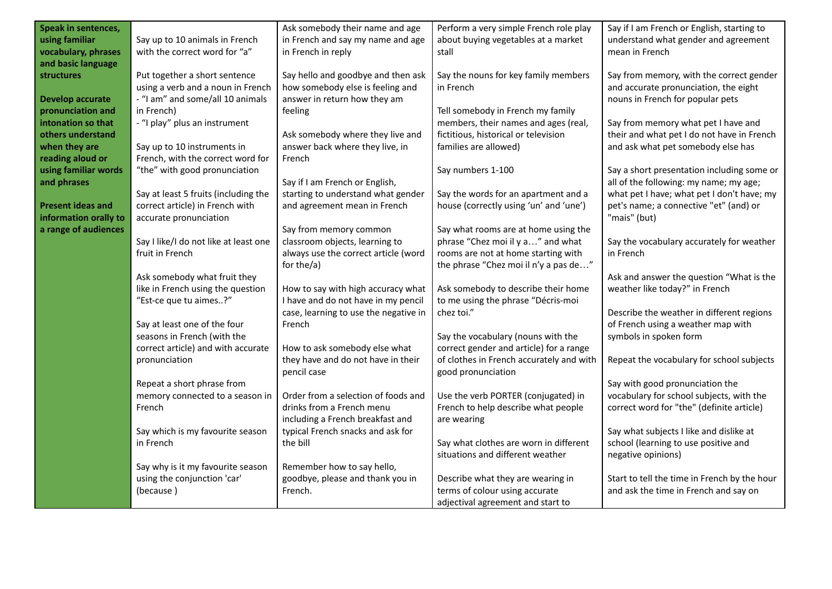| Speak in sentences,      |                                       | Ask somebody their name and age       | Perform a very simple French role play   | Say if I am French or English, starting to   |
|--------------------------|---------------------------------------|---------------------------------------|------------------------------------------|----------------------------------------------|
| using familiar           | Say up to 10 animals in French        | in French and say my name and age     | about buying vegetables at a market      | understand what gender and agreement         |
| vocabulary, phrases      | with the correct word for "a"         | in French in reply                    | stall                                    | mean in French                               |
| and basic language       |                                       |                                       |                                          |                                              |
| <b>structures</b>        | Put together a short sentence         | Say hello and goodbye and then ask    | Say the nouns for key family members     | Say from memory, with the correct gender     |
|                          | using a verb and a noun in French     | how somebody else is feeling and      | in French                                | and accurate pronunciation, the eight        |
| <b>Develop accurate</b>  | - "I am" and some/all 10 animals      | answer in return how they am          |                                          | nouns in French for popular pets             |
| pronunciation and        | in French)                            | feeling                               | Tell somebody in French my family        |                                              |
| intonation so that       | - "I play" plus an instrument         |                                       | members, their names and ages (real,     | Say from memory what pet I have and          |
| others understand        |                                       | Ask somebody where they live and      | fictitious, historical or television     | their and what pet I do not have in French   |
| when they are            | Say up to 10 instruments in           | answer back where they live, in       | families are allowed)                    | and ask what pet somebody else has           |
| reading aloud or         | French, with the correct word for     | French                                |                                          |                                              |
| using familiar words     | "the" with good pronunciation         |                                       | Say numbers 1-100                        | Say a short presentation including some or   |
| and phrases              |                                       | Say if I am French or English,        |                                          | all of the following: my name; my age;       |
|                          | Say at least 5 fruits (including the  | starting to understand what gender    | Say the words for an apartment and a     | what pet I have; what pet I don't have; my   |
| <b>Present ideas and</b> | correct article) in French with       | and agreement mean in French          | house (correctly using 'un' and 'une')   | pet's name; a connective "et" (and) or       |
| information orally to    | accurate pronunciation                |                                       |                                          | "mais" (but)                                 |
| a range of audiences     |                                       | Say from memory common                | Say what rooms are at home using the     |                                              |
|                          | Say I like/I do not like at least one | classroom objects, learning to        | phrase "Chez moi il y a" and what        | Say the vocabulary accurately for weather    |
|                          | fruit in French                       | always use the correct article (word  | rooms are not at home starting with      | in French                                    |
|                          |                                       | for the/a)                            | the phrase "Chez moi il n'y a pas de"    |                                              |
|                          | Ask somebody what fruit they          |                                       |                                          | Ask and answer the question "What is the     |
|                          | like in French using the question     | How to say with high accuracy what    | Ask somebody to describe their home      | weather like today?" in French               |
|                          | "Est-ce que tu aimes?"                | I have and do not have in my pencil   | to me using the phrase "Décris-moi       |                                              |
|                          |                                       | case, learning to use the negative in | chez toi."                               | Describe the weather in different regions    |
|                          | Say at least one of the four          | French                                |                                          | of French using a weather map with           |
|                          | seasons in French (with the           |                                       | Say the vocabulary (nouns with the       | symbols in spoken form                       |
|                          | correct article) and with accurate    | How to ask somebody else what         | correct gender and article) for a range  |                                              |
|                          | pronunciation                         | they have and do not have in their    | of clothes in French accurately and with | Repeat the vocabulary for school subjects    |
|                          |                                       | pencil case                           | good pronunciation                       |                                              |
|                          | Repeat a short phrase from            |                                       |                                          | Say with good pronunciation the              |
|                          | memory connected to a season in       | Order from a selection of foods and   | Use the verb PORTER (conjugated) in      | vocabulary for school subjects, with the     |
|                          | French                                | drinks from a French menu             | French to help describe what people      | correct word for "the" (definite article)    |
|                          |                                       | including a French breakfast and      | are wearing                              |                                              |
|                          | Say which is my favourite season      | typical French snacks and ask for     |                                          | Say what subjects I like and dislike at      |
|                          | in French                             | the bill                              | Say what clothes are worn in different   | school (learning to use positive and         |
|                          |                                       |                                       | situations and different weather         | negative opinions)                           |
|                          | Say why is it my favourite season     | Remember how to say hello,            |                                          |                                              |
|                          | using the conjunction 'car'           | goodbye, please and thank you in      | Describe what they are wearing in        | Start to tell the time in French by the hour |
|                          | (because)                             | French.                               | terms of colour using accurate           | and ask the time in French and say on        |
|                          |                                       |                                       | adjectival agreement and start to        |                                              |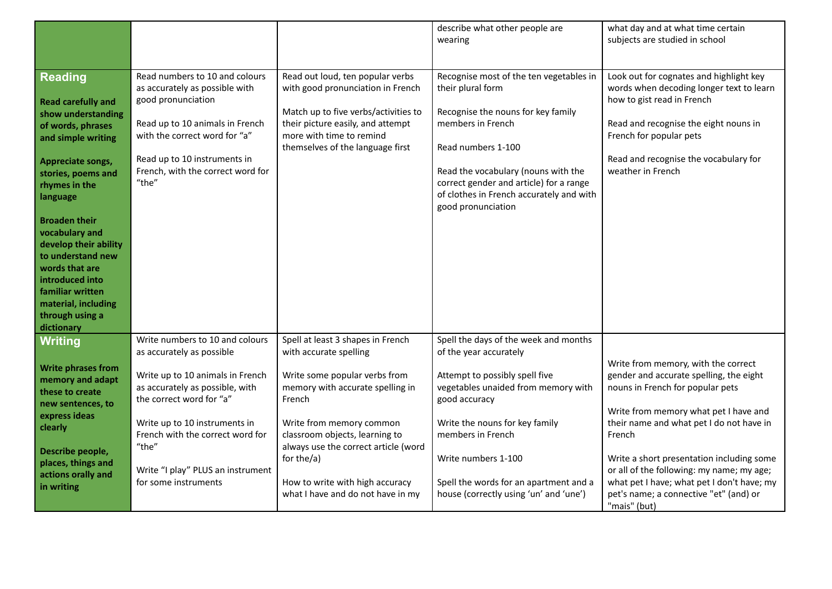| Read numbers to 10 and colours<br>Read out loud, ten popular verbs<br>Recognise most of the ten vegetables in<br><b>Reading</b><br>their plural form<br>as accurately as possible with<br>with good pronunciation in French<br>how to gist read in French<br>good pronunciation<br><b>Read carefully and</b><br>Match up to five verbs/activities to<br>Recognise the nouns for key family<br>show understanding<br>their picture easily, and attempt<br>members in French<br>Read up to 10 animals in French<br>Read and recognise the eight nouns in<br>of words, phrases<br>with the correct word for "a"<br>more with time to remind<br>French for popular pets<br>and simple writing<br>themselves of the language first<br>Read numbers 1-100<br>Read up to 10 instruments in<br>Read and recognise the vocabulary for<br>Appreciate songs,<br>French, with the correct word for<br>weather in French<br>Read the vocabulary (nouns with the<br>stories, poems and<br>"the"<br>correct gender and article) for a range<br>rhymes in the<br>of clothes in French accurately and with<br>language<br>good pronunciation<br><b>Broaden their</b><br>vocabulary and<br>develop their ability<br>to understand new<br>words that are<br>introduced into<br>familiar written<br>material, including<br>through using a<br>dictionary<br>Write numbers to 10 and colours<br>Spell at least 3 shapes in French<br>Spell the days of the week and months<br><b>Writing</b><br>as accurately as possible<br>with accurate spelling<br>of the year accurately<br>Write from memory, with the correct<br><b>Write phrases from</b><br>Write up to 10 animals in French<br>Write some popular verbs from<br>Attempt to possibly spell five<br>memory and adapt<br>as accurately as possible, with<br>memory with accurate spelling in<br>vegetables unaided from memory with<br>nouns in French for popular pets<br>these to create<br>the correct word for "a"<br>good accuracy<br>French<br>new sentences, to<br>express ideas<br>Write up to 10 instruments in<br>Write from memory common<br>Write the nouns for key family<br>clearly<br>French with the correct word for<br>classroom objects, learning to<br>members in French<br>French<br>"the"<br>always use the correct article (word<br>Describe people,<br>for the/a)<br>Write numbers 1-100 |                    |  | describe what other people are<br>wearing | what day and at what time certain<br>subjects are studied in school                                                                                                                                                                                                  |
|----------------------------------------------------------------------------------------------------------------------------------------------------------------------------------------------------------------------------------------------------------------------------------------------------------------------------------------------------------------------------------------------------------------------------------------------------------------------------------------------------------------------------------------------------------------------------------------------------------------------------------------------------------------------------------------------------------------------------------------------------------------------------------------------------------------------------------------------------------------------------------------------------------------------------------------------------------------------------------------------------------------------------------------------------------------------------------------------------------------------------------------------------------------------------------------------------------------------------------------------------------------------------------------------------------------------------------------------------------------------------------------------------------------------------------------------------------------------------------------------------------------------------------------------------------------------------------------------------------------------------------------------------------------------------------------------------------------------------------------------------------------------------------------------------------------------------------------------------------------------------------------------------------------------------------------------------------------------------------------------------------------------------------------------------------------------------------------------------------------------------------------------------------------------------------------------------------------------------------------------------------------------------------------------------------------------------------------------------|--------------------|--|-------------------------------------------|----------------------------------------------------------------------------------------------------------------------------------------------------------------------------------------------------------------------------------------------------------------------|
|                                                                                                                                                                                                                                                                                                                                                                                                                                                                                                                                                                                                                                                                                                                                                                                                                                                                                                                                                                                                                                                                                                                                                                                                                                                                                                                                                                                                                                                                                                                                                                                                                                                                                                                                                                                                                                                                                                                                                                                                                                                                                                                                                                                                                                                                                                                                                    |                    |  |                                           |                                                                                                                                                                                                                                                                      |
|                                                                                                                                                                                                                                                                                                                                                                                                                                                                                                                                                                                                                                                                                                                                                                                                                                                                                                                                                                                                                                                                                                                                                                                                                                                                                                                                                                                                                                                                                                                                                                                                                                                                                                                                                                                                                                                                                                                                                                                                                                                                                                                                                                                                                                                                                                                                                    |                    |  |                                           | Look out for cognates and highlight key<br>words when decoding longer text to learn                                                                                                                                                                                  |
|                                                                                                                                                                                                                                                                                                                                                                                                                                                                                                                                                                                                                                                                                                                                                                                                                                                                                                                                                                                                                                                                                                                                                                                                                                                                                                                                                                                                                                                                                                                                                                                                                                                                                                                                                                                                                                                                                                                                                                                                                                                                                                                                                                                                                                                                                                                                                    |                    |  |                                           |                                                                                                                                                                                                                                                                      |
| Write "I play" PLUS an instrument<br>actions orally and<br>for some instruments<br>How to write with high accuracy<br>Spell the words for an apartment and a<br>in writing<br>what I have and do not have in my<br>house (correctly using 'un' and 'une')<br>pet's name; a connective "et" (and) or<br>"mais" (but)                                                                                                                                                                                                                                                                                                                                                                                                                                                                                                                                                                                                                                                                                                                                                                                                                                                                                                                                                                                                                                                                                                                                                                                                                                                                                                                                                                                                                                                                                                                                                                                                                                                                                                                                                                                                                                                                                                                                                                                                                                | places, things and |  |                                           | gender and accurate spelling, the eight<br>Write from memory what pet I have and<br>their name and what pet I do not have in<br>Write a short presentation including some<br>or all of the following: my name; my age;<br>what pet I have; what pet I don't have; my |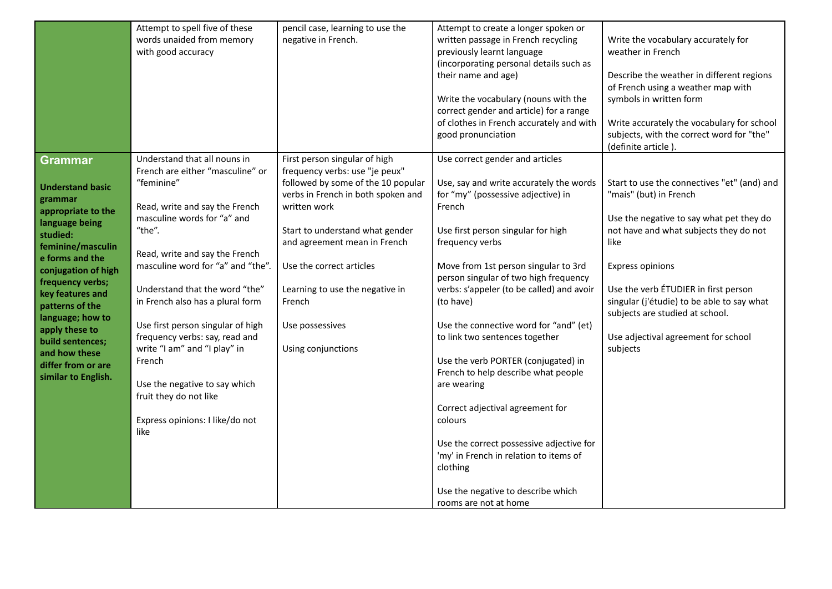|                         | Attempt to spell five of these    | pencil case, learning to use the   | Attempt to create a longer spoken or      |                                             |
|-------------------------|-----------------------------------|------------------------------------|-------------------------------------------|---------------------------------------------|
|                         | words unaided from memory         | negative in French.                | written passage in French recycling       | Write the vocabulary accurately for         |
|                         | with good accuracy                |                                    | previously learnt language                | weather in French                           |
|                         |                                   |                                    | (incorporating personal details such as   |                                             |
|                         |                                   |                                    | their name and age)                       | Describe the weather in different regions   |
|                         |                                   |                                    |                                           | of French using a weather map with          |
|                         |                                   |                                    | Write the vocabulary (nouns with the      | symbols in written form                     |
|                         |                                   |                                    | correct gender and article) for a range   |                                             |
|                         |                                   |                                    | of clothes in French accurately and with  | Write accurately the vocabulary for school  |
|                         |                                   |                                    | good pronunciation                        | subjects, with the correct word for "the"   |
|                         |                                   |                                    |                                           | (definite article).                         |
| Grammar                 | Understand that all nouns in      | First person singular of high      | Use correct gender and articles           |                                             |
|                         | French are either "masculine" or  | frequency verbs: use "je peux"     |                                           |                                             |
|                         | "feminine"                        | followed by some of the 10 popular | Use, say and write accurately the words   | Start to use the connectives "et" (and) and |
| <b>Understand basic</b> |                                   | verbs in French in both spoken and | for "my" (possessive adjective) in        | "mais" (but) in French                      |
| grammar                 | Read, write and say the French    | written work                       | French                                    |                                             |
| appropriate to the      | masculine words for "a" and       |                                    |                                           | Use the negative to say what pet they do    |
| language being          | "the".                            | Start to understand what gender    | Use first person singular for high        | not have and what subjects they do not      |
| studied:                |                                   | and agreement mean in French       | frequency verbs                           | like                                        |
| feminine/masculin       | Read, write and say the French    |                                    |                                           |                                             |
| e forms and the         | masculine word for "a" and "the". | Use the correct articles           | Move from 1st person singular to 3rd      | <b>Express opinions</b>                     |
| conjugation of high     |                                   |                                    | person singular of two high frequency     |                                             |
| frequency verbs;        | Understand that the word "the"    | Learning to use the negative in    | verbs: s'appeler (to be called) and avoir | Use the verb ETUDIER in first person        |
| key features and        | in French also has a plural form  | French                             | (to have)                                 | singular (j'étudie) to be able to say what  |
| patterns of the         |                                   |                                    |                                           | subjects are studied at school.             |
| language; how to        | Use first person singular of high | Use possessives                    | Use the connective word for "and" (et)    |                                             |
| apply these to          | frequency verbs: say, read and    |                                    | to link two sentences together            | Use adjectival agreement for school         |
| build sentences;        | write "I am" and "I play" in      | Using conjunctions                 |                                           | subjects                                    |
| and how these           | French                            |                                    | Use the verb PORTER (conjugated) in       |                                             |
| differ from or are      |                                   |                                    | French to help describe what people       |                                             |
| similar to English.     | Use the negative to say which     |                                    | are wearing                               |                                             |
|                         | fruit they do not like            |                                    |                                           |                                             |
|                         |                                   |                                    | Correct adjectival agreement for          |                                             |
|                         | Express opinions: I like/do not   |                                    | colours                                   |                                             |
|                         | like                              |                                    |                                           |                                             |
|                         |                                   |                                    | Use the correct possessive adjective for  |                                             |
|                         |                                   |                                    | 'my' in French in relation to items of    |                                             |
|                         |                                   |                                    | clothing                                  |                                             |
|                         |                                   |                                    |                                           |                                             |
|                         |                                   |                                    | Use the negative to describe which        |                                             |
|                         |                                   |                                    | rooms are not at home                     |                                             |